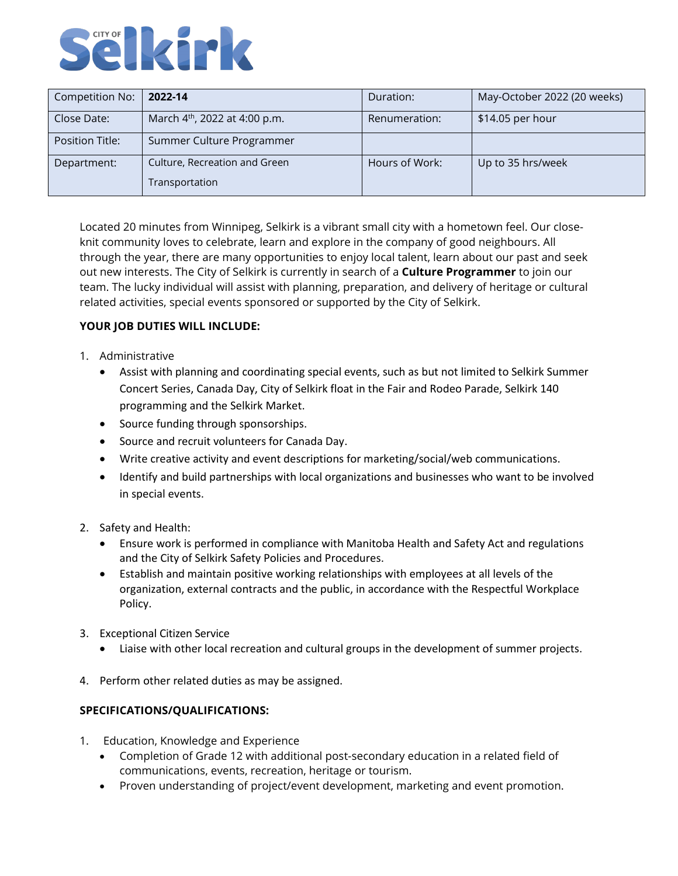

| Competition No: | 2022-14                                   | Duration:      | May-October 2022 (20 weeks) |
|-----------------|-------------------------------------------|----------------|-----------------------------|
| Close Date:     | March 4 <sup>th</sup> , 2022 at 4:00 p.m. | Renumeration:  | \$14.05 per hour            |
| Position Title: | Summer Culture Programmer                 |                |                             |
| Department:     | Culture, Recreation and Green             | Hours of Work: | Up to 35 hrs/week           |
|                 | Transportation                            |                |                             |

Located 20 minutes from Winnipeg, Selkirk is a vibrant small city with a hometown feel. Our closeknit community loves to celebrate, learn and explore in the company of good neighbours. All through the year, there are many opportunities to enjoy local talent, learn about our past and seek out new interests. The City of Selkirk is currently in search of a **Culture Programmer** to join our team. The lucky individual will assist with planning, preparation, and delivery of heritage or cultural related activities, special events sponsored or supported by the City of Selkirk.

## **YOUR JOB DUTIES WILL INCLUDE:**

- 1. Administrative
	- Assist with planning and coordinating special events, such as but not limited to Selkirk Summer Concert Series, Canada Day, City of Selkirk float in the Fair and Rodeo Parade, Selkirk 140 programming and the Selkirk Market.
	- Source funding through sponsorships.
	- Source and recruit volunteers for Canada Day.
	- Write creative activity and event descriptions for marketing/social/web communications.
	- Identify and build partnerships with local organizations and businesses who want to be involved in special events.
- 2. Safety and Health:
	- Ensure work is performed in compliance with Manitoba Health and Safety Act and regulations and the City of Selkirk Safety Policies and Procedures.
	- Establish and maintain positive working relationships with employees at all levels of the organization, external contracts and the public, in accordance with the Respectful Workplace Policy.
- 3. Exceptional Citizen Service
	- Liaise with other local recreation and cultural groups in the development of summer projects.
- 4. Perform other related duties as may be assigned.

## **SPECIFICATIONS/QUALIFICATIONS:**

- 1. Education, Knowledge and Experience
	- Completion of Grade 12 with additional post-secondary education in a related field of communications, events, recreation, heritage or tourism.
	- Proven understanding of project/event development, marketing and event promotion.